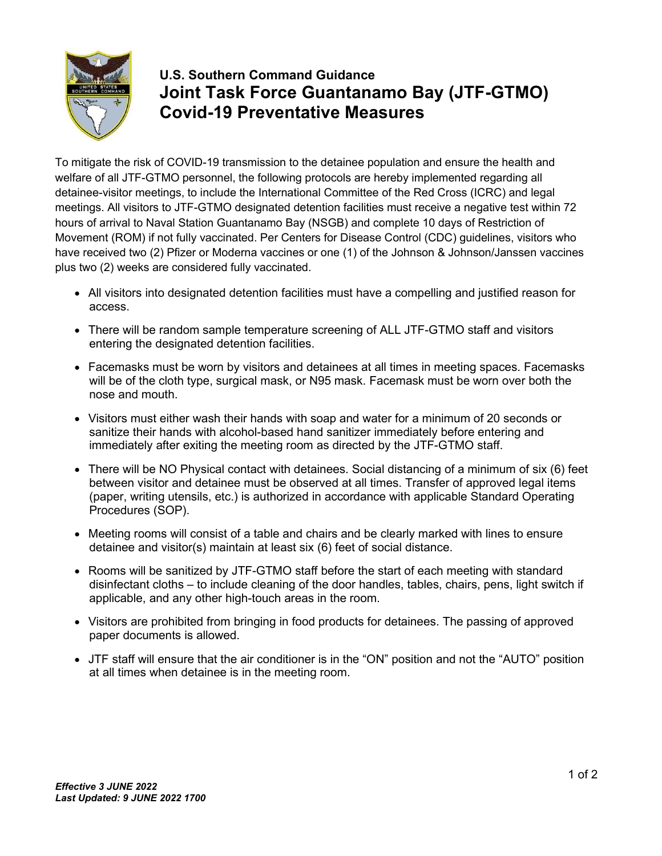

## **U.S. Southern Command Guidance Joint Task Force Guantanamo Bay (JTF-GTMO) Covid-19 Preventative Measures**

To mitigate the risk of COVID-19 transmission to the detainee population and ensure the health and welfare of all JTF-GTMO personnel, the following protocols are hereby implemented regarding all detainee-visitor meetings, to include the International Committee of the Red Cross (ICRC) and legal meetings. All visitors to JTF-GTMO designated detention facilities must receive a negative test within 72 hours of arrival to Naval Station Guantanamo Bay (NSGB) and complete 10 days of Restriction of Movement (ROM) if not fully vaccinated. Per Centers for Disease Control (CDC) guidelines, visitors who have received two (2) Pfizer or Moderna vaccines or one (1) of the Johnson & Johnson/Janssen vaccines plus two (2) weeks are considered fully vaccinated.

- All visitors into designated detention facilities must have a compelling and justified reason for access.
- There will be random sample temperature screening of ALL JTF-GTMO staff and visitors entering the designated detention facilities.
- Facemasks must be worn by visitors and detainees at all times in meeting spaces. Facemasks will be of the cloth type, surgical mask, or N95 mask. Facemask must be worn over both the nose and mouth.
- Visitors must either wash their hands with soap and water for a minimum of 20 seconds or sanitize their hands with alcohol-based hand sanitizer immediately before entering and immediately after exiting the meeting room as directed by the JTF-GTMO staff.
- There will be NO Physical contact with detainees. Social distancing of a minimum of six (6) feet between visitor and detainee must be observed at all times. Transfer of approved legal items (paper, writing utensils, etc.) is authorized in accordance with applicable Standard Operating Procedures (SOP).
- Meeting rooms will consist of a table and chairs and be clearly marked with lines to ensure detainee and visitor(s) maintain at least six (6) feet of social distance.
- Rooms will be sanitized by JTF-GTMO staff before the start of each meeting with standard disinfectant cloths – to include cleaning of the door handles, tables, chairs, pens, light switch if applicable, and any other high-touch areas in the room.
- Visitors are prohibited from bringing in food products for detainees. The passing of approved paper documents is allowed.
- JTF staff will ensure that the air conditioner is in the "ON" position and not the "AUTO" position at all times when detainee is in the meeting room.